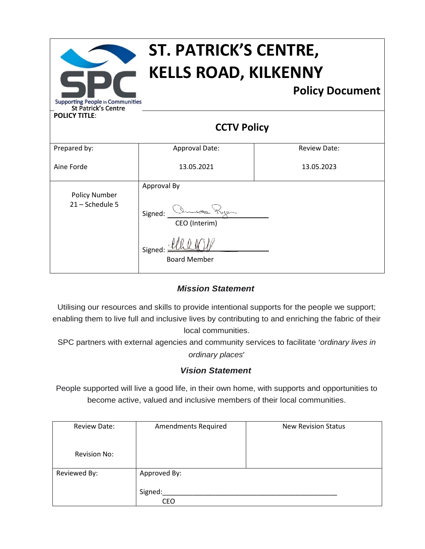| ST. PATRICK'S CENTRE,<br><b>KELLS ROAD, KILKENNY</b>                  |                               |                        |  |  |  |
|-----------------------------------------------------------------------|-------------------------------|------------------------|--|--|--|
| <b>Supporting People in Communities</b><br><b>St Patrick's Centre</b> |                               | <b>Policy Document</b> |  |  |  |
| <b>POLICY TITLE:</b>                                                  |                               |                        |  |  |  |
| <b>CCTV Policy</b>                                                    |                               |                        |  |  |  |
| Prepared by:                                                          | Approval Date:                | <b>Review Date:</b>    |  |  |  |
| Aine Forde                                                            | 13.05.2021                    | 13.05.2023             |  |  |  |
|                                                                       | Approval By                   |                        |  |  |  |
| <b>Policy Number</b><br>21 - Schedule 5                               | Signed:<br>CEO (Interim)      |                        |  |  |  |
|                                                                       | Signed<br><b>Board Member</b> |                        |  |  |  |

# *Mission Statement*

Utilising our resources and skills to provide intentional supports for the people we support; enabling them to live full and inclusive lives by contributing to and enriching the fabric of their local communities.

SPC partners with external agencies and community services to facilitate '*ordinary lives in ordinary places*'

## *Vision Statement*

People supported will live a good life, in their own home, with supports and opportunities to become active, valued and inclusive members of their local communities.

| Review Date:        | <b>Amendments Required</b> | <b>New Revision Status</b> |
|---------------------|----------------------------|----------------------------|
|                     |                            |                            |
| <b>Revision No:</b> |                            |                            |
| Reviewed By:        | Approved By:               |                            |
|                     | Signed:<br><b>CEO</b>      |                            |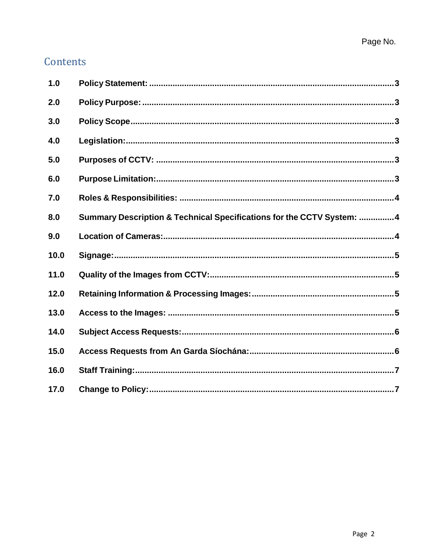# Contents

| 1.0  |                                                                       |  |
|------|-----------------------------------------------------------------------|--|
| 2.0  |                                                                       |  |
| 3.0  |                                                                       |  |
| 4.0  |                                                                       |  |
| 5.0  |                                                                       |  |
| 6.0  |                                                                       |  |
| 7.0  |                                                                       |  |
| 8.0  | Summary Description & Technical Specifications for the CCTV System: 4 |  |
| 9.0  |                                                                       |  |
| 10.0 |                                                                       |  |
| 11.0 |                                                                       |  |
| 12.0 |                                                                       |  |
| 13.0 |                                                                       |  |
| 14.0 |                                                                       |  |
| 15.0 |                                                                       |  |
| 16.0 |                                                                       |  |
| 17.0 |                                                                       |  |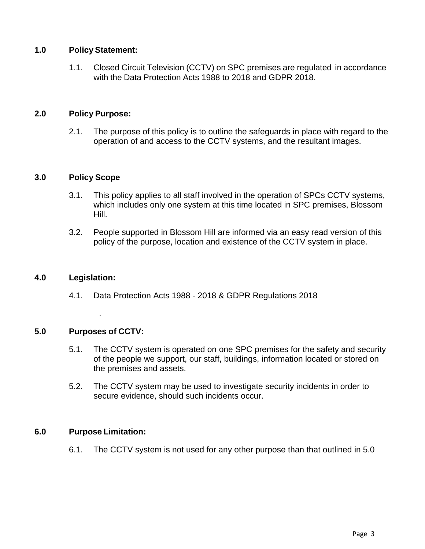## <span id="page-2-0"></span>**1.0 Policy Statement:**

1.1. Closed Circuit Television (CCTV) on SPC premises are regulated in accordance with the Data Protection Acts 1988 to 2018 and GDPR 2018.

## <span id="page-2-1"></span>**2.0 Policy Purpose:**

2.1. The purpose of this policy is to outline the safeguards in place with regard to the operation of and access to the CCTV systems, and the resultant images.

## <span id="page-2-2"></span>**3.0 Policy Scope**

- 3.1. This policy applies to all staff involved in the operation of SPCs CCTV systems, which includes only one system at this time located in SPC premises, Blossom Hill.
- 3.2. People supported in Blossom Hill are informed via an easy read version of this policy of the purpose, location and existence of the CCTV system in place.

#### <span id="page-2-3"></span>**4.0 Legislation:**

4.1. Data Protection Acts 1988 - 2018 & GDPR Regulations 2018

## <span id="page-2-4"></span>**5.0 Purposes of CCTV:**

.

- 5.1. The CCTV system is operated on one SPC premises for the safety and security of the people we support, our staff, buildings, information located or stored on the premises and assets.
- 5.2. The CCTV system may be used to investigate security incidents in order to secure evidence, should such incidents occur.

## <span id="page-2-5"></span>**6.0 Purpose Limitation:**

6.1. The CCTV system is not used for any other purpose than that outlined in 5.0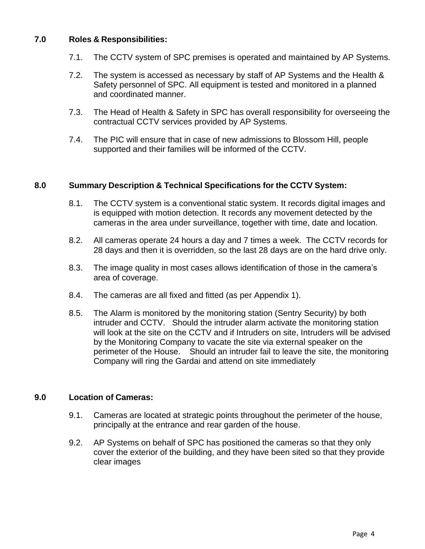## <span id="page-3-0"></span>**7.0 Roles & Responsibilities:**

- 7.1. The CCTV system of SPC premises is operated and maintained by AP Systems.
- 7.2. The system is accessed as necessary by staff of AP Systems and the Health & Safety personnel of SPC. All equipment is tested and monitored in a planned and coordinated manner.
- 7.3. The Head of Health & Safety in SPC has overall responsibility for overseeing the contractual CCTV services provided by AP Systems.
- 7.4. The PIC will ensure that in case of new admissions to Blossom Hill, people supported and their families will be informed of the CCTV.

## <span id="page-3-1"></span>**8.0 Summary Description & Technical Specifications for the CCTV System:**

- 8.1. The CCTV system is a conventional static system. It records digital images and is equipped with motion detection. It records any movement detected by the cameras in the area under surveillance, together with time, date and location.
- 8.2. All cameras operate 24 hours a day and 7 times a week. The CCTV records for 28 days and then it is overridden, so the last 28 days are on the hard drive only.
- 8.3. The image quality in most cases allows identification of those in the camera's area of coverage.
- 8.4. The cameras are all fixed and fitted (as per Appendix 1).
- 8.5. The Alarm is monitored by the monitoring station (Sentry Security) by both intruder and CCTV. Should the intruder alarm activate the monitoring station will look at the site on the CCTV and if Intruders on site, Intruders will be advised by the Monitoring Company to vacate the site via external speaker on the perimeter of the House. Should an intruder fail to leave the site, the monitoring Company will ring the Gardai and attend on site immediately

#### <span id="page-3-2"></span>**9.0 Location of Cameras:**

- 9.1. Cameras are located at strategic points throughout the perimeter of the house, principally at the entrance and rear garden of the house.
- 9.2. AP Systems on behalf of SPC has positioned the cameras so that they only cover the exterior of the building, and they have been sited so that they provide clear images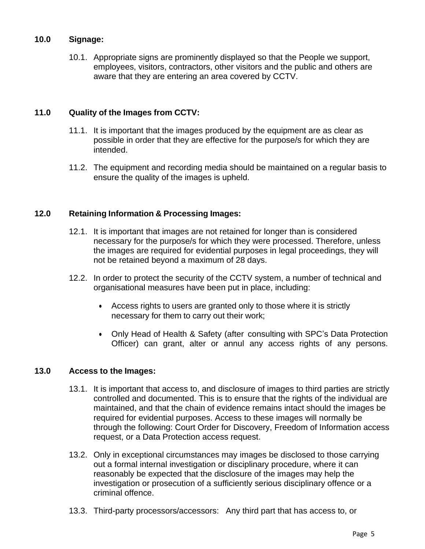## <span id="page-4-0"></span>**10.0 Signage:**

10.1. Appropriate signs are prominently displayed so that the People we support, employees, visitors, contractors, other visitors and the public and others are aware that they are entering an area covered by CCTV.

## <span id="page-4-1"></span>**11.0 Quality of the Images from CCTV:**

- 11.1. It is important that the images produced by the equipment are as clear as possible in order that they are effective for the purpose/s for which they are intended.
- 11.2. The equipment and recording media should be maintained on a regular basis to ensure the quality of the images is upheld.

## <span id="page-4-2"></span>**12.0 Retaining Information & Processing Images:**

- 12.1. It is important that images are not retained for longer than is considered necessary for the purpose/s for which they were processed. Therefore, unless the images are required for evidential purposes in legal proceedings, they will not be retained beyond a maximum of 28 days.
- 12.2. In order to protect the security of the CCTV system, a number of technical and organisational measures have been put in place, including:
	- Access rights to users are granted only to those where it is strictly necessary for them to carry out their work;
	- Only Head of Health & Safety (after consulting with SPC's Data Protection Officer) can grant, alter or annul any access rights of any persons.

## <span id="page-4-3"></span>**13.0 Access to the Images:**

- 13.1. It is important that access to, and disclosure of images to third parties are strictly controlled and documented. This is to ensure that the rights of the individual are maintained, and that the chain of evidence remains intact should the images be required for evidential purposes. Access to these images will normally be through the following: Court Order for Discovery, Freedom of Information access request, or a Data Protection access request.
- 13.2. Only in exceptional circumstances may images be disclosed to those carrying out a formal internal investigation or disciplinary procedure, where it can reasonably be expected that the disclosure of the images may help the investigation or prosecution of a sufficiently serious disciplinary offence or a criminal offence.
- 13.3. Third-party processors/accessors: Any third part that has access to, or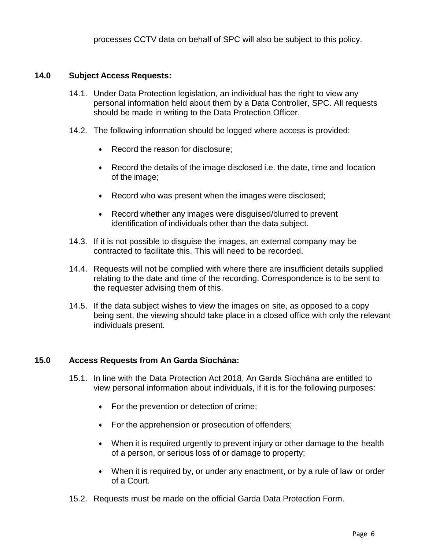#### <span id="page-5-0"></span>**14.0 Subject Access Requests:**

- 14.1. Under Data Protection legislation, an individual has the right to view any personal information held about them by a Data Controller, SPC. All requests should be made in writing to the Data Protection Officer.
- 14.2. The following information should be logged where access is provided:
	- Record the reason for disclosure;
	- Record the details of the image disclosed i.e. the date, time and location of the image;
	- Record who was present when the images were disclosed;
	- Record whether any images were disguised/blurred to prevent identification of individuals other than the data subject.
- 14.3. If it is not possible to disguise the images, an external company may be contracted to facilitate this. This will need to be recorded.
- 14.4. Requests will not be complied with where there are insufficient details supplied relating to the date and time of the recording. Correspondence is to be sent to the requester advising them of this.
- 14.5. If the data subject wishes to view the images on site, as opposed to a copy being sent, the viewing should take place in a closed office with only the relevant individuals present.

#### <span id="page-5-1"></span>**15.0 Access Requests from An Garda Síochána:**

- 15.1. In line with the Data Protection Act 2018, An Garda Síochána are entitled to view personal information about individuals, if it is for the following purposes:
	- For the prevention or detection of crime;
	- For the apprehension or prosecution of offenders;
	- When it is required urgently to prevent injury or other damage to the health of a person, or serious loss of or damage to property;
	- When it is required by, or under any enactment, or by a rule of law or order of a Court.
- 15.2. Requests must be made on the official Garda Data Protection Form.